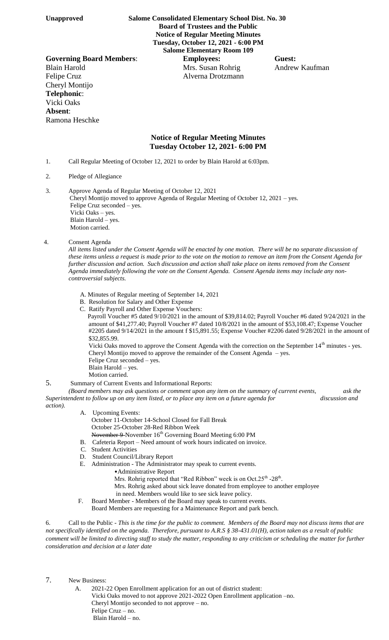**Unapproved Salome Consolidated Elementary School Dist. No. 30 Board of Trustees and the Public Notice of Regular Meeting Minutes Tuesday, October 12, 2021 - 6:00 PM Salome Elementary Room 109**

**Governing Board Members**: **Employees: Guest:** Blain Harold **Mrs.** Susan Rohrig Andrew Kaufman Felipe Cruz Alverna Drotzmann Cheryl Montijo **Telephonic**: Vicki Oaks **Absent**: Ramona Heschke

## **Notice of Regular Meeting Minutes Tuesday October 12, 2021- 6:00 PM**

- 1. Call Regular Meeting of October 12, 2021 to order by Blain Harold at 6:03pm.
- 2. Pledge of Allegiance

3. Approve Agenda of Regular Meeting of October 12, 2021 Cheryl Montijo moved to approve Agenda of Regular Meeting of October 12, 2021 – yes. Felipe Cruz seconded – yes. Vicki Oaks – yes. Blain Harold – yes. Motion carried.

## 4. Consent Agenda

*All items listed under the Consent Agenda will be enacted by one motion. There will be no separate discussion of these items unless a request is made prior to the vote on the motion to remove an item from the Consent Agenda for further discussion and action. Such discussion and action shall take place on items removed from the Consent Agenda immediately following the vote on the Consent Agenda. Consent Agenda items may include any noncontroversial subjects.*

- A. Minutes of Regular meeting of September 14, 2021
- B. Resolution for Salary and Other Expense
- C. Ratify Payroll and Other Expense Vouchers:

 Payroll Voucher #5 dated 9/10/2021 in the amount of \$39,814.02; Payroll Voucher #6 dated 9/24/2021 in the amount of \$41,277.40; Payroll Voucher #7 dated 10/8/2021 in the amount of \$53,108.47; Expense Voucher #2205 dated 9/14/2021 in the amount f \$15,891.55; Expense Voucher #2206 dated 9/28/2021 in the amount of \$32,855.99.

Vicki Oaks moved to approve the Consent Agenda with the correction on the September  $14<sup>th</sup>$  minutes - yes. Cheryl Montijo moved to approve the remainder of the Consent Agenda – yes.

- Felipe Cruz seconded yes.
- Blain Harold yes.
- Motion carried.
- 5. Summary of Current Events and Informational Reports:

*(Board members may ask questions or comment upon any item on the summary of current events, ask the Superintendent to follow up on any item listed, or to place any item on a future agenda for* discussion and *discussion and action).*

- A. Upcoming Events: October 11-October 14-School Closed for Fall Break October 25-October 28-Red Ribbon Week November 9-November 16<sup>th</sup> Governing Board Meeting 6:00 PM
- B. Cafeteria Report Need amount of work hours indicated on invoice.
- C. Student Activities
- D. Student Council/Library Report
- E. Administration The Administrator may speak to current events.
	- •Administrative Report
		- Mrs. Rohrig reported that "Red Ribbon" week is on Oct.25<sup>th</sup> -28<sup>th</sup>.
		- Mrs. Rohrig asked about sick leave donated from employee to another employee
		- in need. Members would like to see sick leave policy.
	- F. Board Member Members of the Board may speak to current events.

Board Members are requesting for a Maintenance Report and park bench.

6. Call to the Public - *This is the time for the public to comment. Members of the Board may not discuss items that are not specifically identified on the agenda. Therefore, pursuant to A.R.S § 38-431.01(H), action taken as a result of public comment will be limited to directing staff to study the matter, responding to any criticism or scheduling the matter for further consideration and decision at a later date*

## 7. New Business:

 A. 2021-22 Open Enrollment application for an out of district student: Vicki Oaks moved to not approve 2021-2022 Open Enrollment application –no. Cheryl Montijo seconded to not approve – no. Felipe Cruz – no. Blain Harold – no.